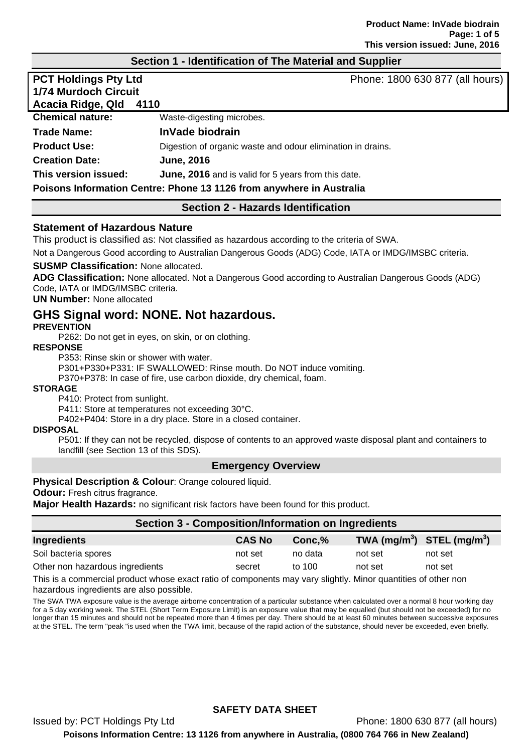## **Section 1 - Identification of The Material and Supplier**

| <b>PCT Holdings Pty Ltd</b><br><b>1/74 Murdoch Circuit</b><br>Acacia Ridge, Qld | Phone: 1800 630 877 (all hours)<br>4110                     |  |
|---------------------------------------------------------------------------------|-------------------------------------------------------------|--|
| <b>Chemical nature:</b>                                                         | Waste-digesting microbes.                                   |  |
| <b>Trade Name:</b>                                                              | InVade biodrain                                             |  |
| <b>Product Use:</b>                                                             | Digestion of organic waste and odour elimination in drains. |  |
| <b>Creation Date:</b>                                                           | <b>June, 2016</b>                                           |  |
| This version issued:                                                            | June, 2016 and is valid for 5 years from this date.         |  |
| Poisons Information Centre: Phone 13 1126 from anywhere in Australia            |                                                             |  |

## **Section 2 - Hazards Identification**

#### **Statement of Hazardous Nature**

This product is classified as: Not classified as hazardous according to the criteria of SWA.

Not a Dangerous Good according to Australian Dangerous Goods (ADG) Code, IATA or IMDG/IMSBC criteria.

#### **SUSMP Classification:** None allocated.

**ADG Classification:** None allocated. Not a Dangerous Good according to Australian Dangerous Goods (ADG) Code, IATA or IMDG/IMSBC criteria.

#### **UN Number:** None allocated

# **GHS Signal word: NONE. Not hazardous.**

#### **PREVENTION**

P262: Do not get in eyes, on skin, or on clothing.

#### **RESPONSE**

P353: Rinse skin or shower with water.

P301+P330+P331: IF SWALLOWED: Rinse mouth. Do NOT induce vomiting.

P370+P378: In case of fire, use carbon dioxide, dry chemical, foam.

#### **STORAGE**

P410: Protect from sunlight.

P411: Store at temperatures not exceeding 30°C.

P402+P404: Store in a dry place. Store in a closed container.

#### **DISPOSAL**

P501: If they can not be recycled, dispose of contents to an approved waste disposal plant and containers to landfill (see Section 13 of this SDS).

#### **Emergency Overview**

#### **Physical Description & Colour**: Orange coloured liquid.

**Odour:** Fresh citrus fragrance.

**Major Health Hazards:** no significant risk factors have been found for this product.

| Section 3 - Composition/Information on Ingredients |               |         |                                |         |  |
|----------------------------------------------------|---------------|---------|--------------------------------|---------|--|
| Ingredients                                        | <b>CAS No</b> | Conc.%  | TWA $(mg/m^3)$ STEL $(mg/m^3)$ |         |  |
| Soil bacteria spores                               | not set       | no data | not set                        | not set |  |
| Other non hazardous ingredients                    | secret        | to 100  | not set                        | not set |  |

This is a commercial product whose exact ratio of components may vary slightly. Minor quantities of other non hazardous ingredients are also possible.

The SWA TWA exposure value is the average airborne concentration of a particular substance when calculated over a normal 8 hour working day for a 5 day working week. The STEL (Short Term Exposure Limit) is an exposure value that may be equalled (but should not be exceeded) for no longer than 15 minutes and should not be repeated more than 4 times per day. There should be at least 60 minutes between successive exposures at the STEL. The term "peak "is used when the TWA limit, because of the rapid action of the substance, should never be exceeded, even briefly.

## **SAFETY DATA SHEET**

Issued by: PCT Holdings Pty Ltd Phone: 1800 630 877 (all hours) **Poisons Information Centre: 13 1126 from anywhere in Australia, (0800 764 766 in New Zealand)**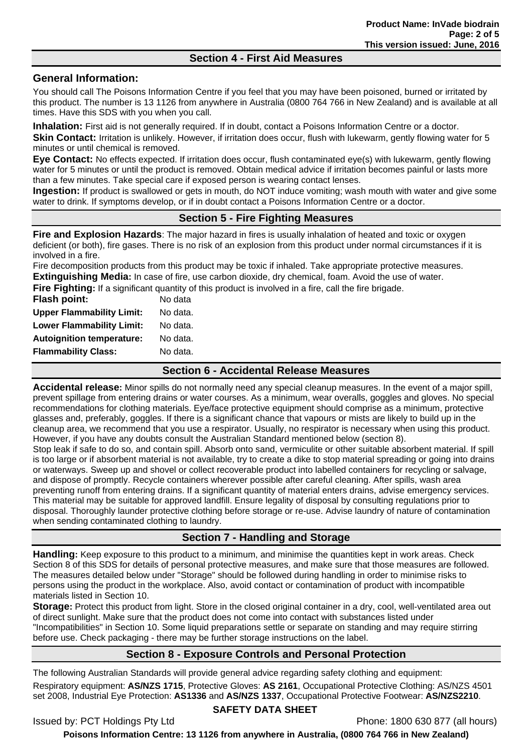## **Section 4 - First Aid Measures**

## **General Information:**

You should call The Poisons Information Centre if you feel that you may have been poisoned, burned or irritated by this product. The number is 13 1126 from anywhere in Australia (0800 764 766 in New Zealand) and is available at all times. Have this SDS with you when you call.

**Inhalation:** First aid is not generally required. If in doubt, contact a Poisons Information Centre or a doctor.

**Skin Contact:** Irritation is unlikely. However, if irritation does occur, flush with lukewarm, gently flowing water for 5 minutes or until chemical is removed.

**Eye Contact:** No effects expected. If irritation does occur, flush contaminated eye(s) with lukewarm, gently flowing water for 5 minutes or until the product is removed. Obtain medical advice if irritation becomes painful or lasts more than a few minutes. Take special care if exposed person is wearing contact lenses.

**Ingestion:** If product is swallowed or gets in mouth, do NOT induce vomiting; wash mouth with water and give some water to drink. If symptoms develop, or if in doubt contact a Poisons Information Centre or a doctor.

## **Section 5 - Fire Fighting Measures**

**Fire and Explosion Hazards**: The major hazard in fires is usually inhalation of heated and toxic or oxygen deficient (or both), fire gases. There is no risk of an explosion from this product under normal circumstances if it is involved in a fire.

Fire decomposition products from this product may be toxic if inhaled. Take appropriate protective measures. **Extinguishing Media:** In case of fire, use carbon dioxide, dry chemical, foam. Avoid the use of water.

**Fire Fighting:** If a significant quantity of this product is involved in a fire, call the fire brigade.

| Flash point:                     | No data  |
|----------------------------------|----------|
| <b>Upper Flammability Limit:</b> | No data. |
| <b>Lower Flammability Limit:</b> | No data. |
| <b>Autoignition temperature:</b> | No data. |
| <b>Flammability Class:</b>       | No data. |
|                                  |          |

## **Section 6 - Accidental Release Measures**

**Accidental release:** Minor spills do not normally need any special cleanup measures. In the event of a major spill, prevent spillage from entering drains or water courses. As a minimum, wear overalls, goggles and gloves. No special recommendations for clothing materials. Eye/face protective equipment should comprise as a minimum, protective glasses and, preferably, goggles. If there is a significant chance that vapours or mists are likely to build up in the cleanup area, we recommend that you use a respirator. Usually, no respirator is necessary when using this product. However, if you have any doubts consult the Australian Standard mentioned below (section 8).

Stop leak if safe to do so, and contain spill. Absorb onto sand, vermiculite or other suitable absorbent material. If spill is too large or if absorbent material is not available, try to create a dike to stop material spreading or going into drains or waterways. Sweep up and shovel or collect recoverable product into labelled containers for recycling or salvage, and dispose of promptly. Recycle containers wherever possible after careful cleaning. After spills, wash area preventing runoff from entering drains. If a significant quantity of material enters drains, advise emergency services. This material may be suitable for approved landfill. Ensure legality of disposal by consulting regulations prior to disposal. Thoroughly launder protective clothing before storage or re-use. Advise laundry of nature of contamination when sending contaminated clothing to laundry.

# **Section 7 - Handling and Storage**

**Handling:** Keep exposure to this product to a minimum, and minimise the quantities kept in work areas. Check Section 8 of this SDS for details of personal protective measures, and make sure that those measures are followed. The measures detailed below under "Storage" should be followed during handling in order to minimise risks to persons using the product in the workplace. Also, avoid contact or contamination of product with incompatible materials listed in Section 10.

**Storage:** Protect this product from light. Store in the closed original container in a dry, cool, well-ventilated area out of direct sunlight. Make sure that the product does not come into contact with substances listed under "Incompatibilities" in Section 10. Some liquid preparations settle or separate on standing and may require stirring before use. Check packaging - there may be further storage instructions on the label.

# **Section 8 - Exposure Controls and Personal Protection**

The following Australian Standards will provide general advice regarding safety clothing and equipment:

Respiratory equipment: **AS/NZS 1715**, Protective Gloves: **AS 2161**, Occupational Protective Clothing: AS/NZS 4501 set 2008, Industrial Eye Protection: **AS1336** and **AS/NZS 1337**, Occupational Protective Footwear: **AS/NZS2210**.

## **SAFETY DATA SHEET**

Issued by: PCT Holdings Pty Ltd Phone: 1800 630 877 (all hours)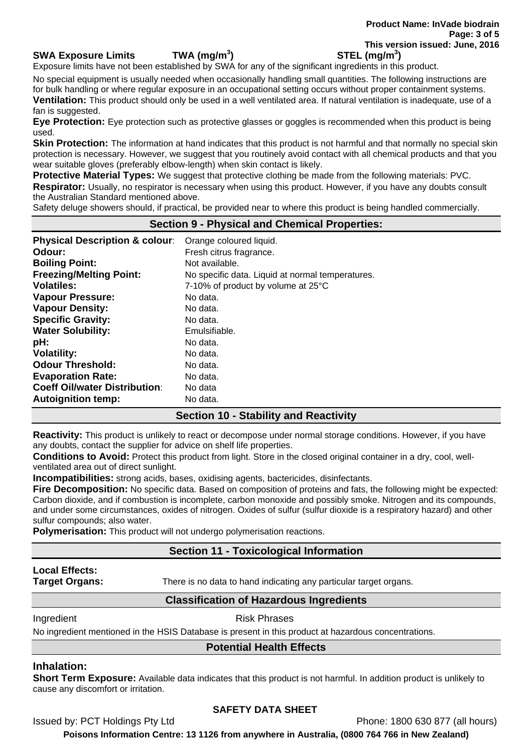#### **SWA Exposure Limits TWA (mg/m<sup>3</sup>**

Exposure limits have not been established by SWA for any of the significant ingredients in this product.

No special equipment is usually needed when occasionally handling small quantities. The following instructions are for bulk handling or where regular exposure in an occupational setting occurs without proper containment systems. **Ventilation:** This product should only be used in a well ventilated area. If natural ventilation is inadequate, use of a fan is suggested.

**Eye Protection:** Eye protection such as protective glasses or goggles is recommended when this product is being used.

**Skin Protection:** The information at hand indicates that this product is not harmful and that normally no special skin protection is necessary. However, we suggest that you routinely avoid contact with all chemical products and that you wear suitable gloves (preferably elbow-length) when skin contact is likely.

**Protective Material Types:** We suggest that protective clothing be made from the following materials: PVC.

**Respirator:** Usually, no respirator is necessary when using this product. However, if you have any doubts consult the Australian Standard mentioned above.

Safety deluge showers should, if practical, be provided near to where this product is being handled commercially.

## **Section 9 - Physical and Chemical Properties:**

| <b>Physical Description &amp; colour:</b><br>Odour: | Orange coloured liquid.<br>Fresh citrus fragrance. |
|-----------------------------------------------------|----------------------------------------------------|
| <b>Boiling Point:</b>                               | Not available.                                     |
| <b>Freezing/Melting Point:</b>                      | No specific data. Liquid at normal temperatures.   |
| <b>Volatiles:</b>                                   | 7-10% of product by volume at 25°C                 |
| <b>Vapour Pressure:</b>                             | No data.                                           |
| <b>Vapour Density:</b>                              | No data.                                           |
| <b>Specific Gravity:</b>                            | No data.                                           |
| <b>Water Solubility:</b>                            | Emulsifiable.                                      |
| pH:                                                 | No data.                                           |
| <b>Volatility:</b>                                  | No data.                                           |
| <b>Odour Threshold:</b>                             | No data.                                           |
| <b>Evaporation Rate:</b>                            | No data.                                           |
| <b>Coeff Oil/water Distribution:</b>                | No data                                            |
| <b>Autoignition temp:</b>                           | No data.                                           |

# **Section 10 - Stability and Reactivity**

**Reactivity:** This product is unlikely to react or decompose under normal storage conditions. However, if you have any doubts, contact the supplier for advice on shelf life properties.

**Conditions to Avoid:** Protect this product from light. Store in the closed original container in a dry, cool, wellventilated area out of direct sunlight.

**Incompatibilities:** strong acids, bases, oxidising agents, bactericides, disinfectants.

**Fire Decomposition:** No specific data. Based on composition of proteins and fats, the following might be expected: Carbon dioxide, and if combustion is incomplete, carbon monoxide and possibly smoke. Nitrogen and its compounds, and under some circumstances, oxides of nitrogen. Oxides of sulfur (sulfur dioxide is a respiratory hazard) and other sulfur compounds; also water.

**Polymerisation:** This product will not undergo polymerisation reactions.

## **Section 11 - Toxicological Information**

# **Local Effects:**

**Target Organs:** There is no data to hand indicating any particular target organs.

## **Classification of Hazardous Ingredients**

#### Ingredient **Risk Phrases**

No ingredient mentioned in the HSIS Database is present in this product at hazardous concentrations.

# **Potential Health Effects**

## **Inhalation:**

**Short Term Exposure:** Available data indicates that this product is not harmful. In addition product is unlikely to cause any discomfort or irritation.

## **SAFETY DATA SHEET**

Issued by: PCT Holdings Pty Ltd Phone: 1800 630 877 (all hours)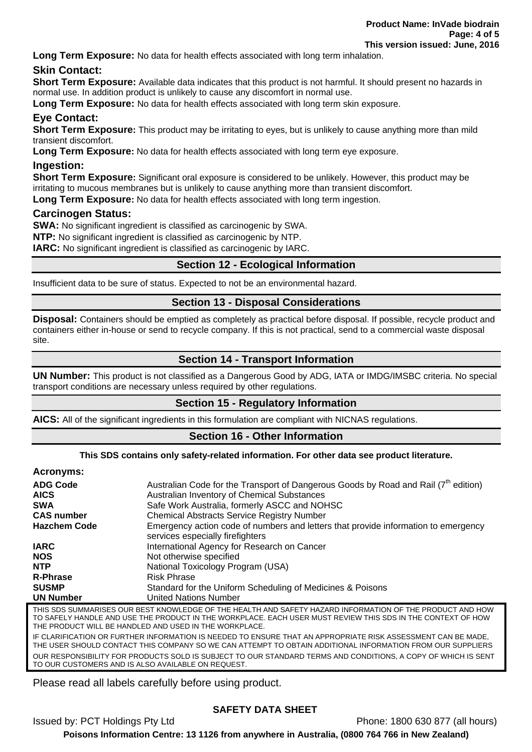**Long Term Exposure:** No data for health effects associated with long term inhalation.

# **Skin Contact:**

**Short Term Exposure:** Available data indicates that this product is not harmful. It should present no hazards in normal use. In addition product is unlikely to cause any discomfort in normal use.

**Long Term Exposure:** No data for health effects associated with long term skin exposure.

# **Eye Contact:**

**Short Term Exposure:** This product may be irritating to eyes, but is unlikely to cause anything more than mild transient discomfort.

**Long Term Exposure:** No data for health effects associated with long term eye exposure.

## **Ingestion:**

**Short Term Exposure:** Significant oral exposure is considered to be unlikely. However, this product may be irritating to mucous membranes but is unlikely to cause anything more than transient discomfort. **Long Term Exposure:** No data for health effects associated with long term ingestion.

## **Carcinogen Status:**

**SWA:** No significant ingredient is classified as carcinogenic by SWA.

**NTP:** No significant ingredient is classified as carcinogenic by NTP.

**IARC:** No significant ingredient is classified as carcinogenic by IARC.

## **Section 12 - Ecological Information**

Insufficient data to be sure of status. Expected to not be an environmental hazard.

## **Section 13 - Disposal Considerations**

**Disposal:** Containers should be emptied as completely as practical before disposal. If possible, recycle product and containers either in-house or send to recycle company. If this is not practical, send to a commercial waste disposal site.

## **Section 14 - Transport Information**

**UN Number:** This product is not classified as a Dangerous Good by ADG, IATA or IMDG/IMSBC criteria. No special transport conditions are necessary unless required by other regulations.

## **Section 15 - Regulatory Information**

**AICS:** All of the significant ingredients in this formulation are compliant with NICNAS regulations.

#### **Section 16 - Other Information**

#### **This SDS contains only safety-related information. For other data see product literature.**

#### **Acronyms:**  ADG Code **Australian Code for the Transport of Dangerous Goods by Road and Rail (7<sup>th</sup> edition) AICS** Australian Inventory of Chemical Substances<br>
Sale Work Australia formerly ASCC and NO Safe Work Australia, formerly ASCC and NOHSC **CAS number Chemical Abstracts Service Registry Number Hazchem Code** Emergency action code of numbers and letters that provide information to emergency services especially firefighters **IARC** International Agency for Research on Cancer **NOS** Not otherwise specified **NTP** National Toxicology Program (USA) **R-Phrase** Risk Phrase **SUSMP** Standard for the Uniform Scheduling of Medicines & Poisons **UN Number** United Nations Number THIS SDS SUMMARISES OUR BEST KNOWLEDGE OF THE HEALTH AND SAFETY HAZARD INFORMATION OF THE PRODUCT AND HOW

TO SAFELY HANDLE AND USE THE PRODUCT IN THE WORKPLACE. EACH USER MUST REVIEW THIS SDS IN THE CONTEXT OF HOW THE PRODUCT WILL BE HANDLED AND USED IN THE WORKPLACE. IF CLARIFICATION OR FURTHER INFORMATION IS NEEDED TO ENSURE THAT AN APPROPRIATE RISK ASSESSMENT CAN BE MADE,

THE USER SHOULD CONTACT THIS COMPANY SO WE CAN ATTEMPT TO OBTAIN ADDITIONAL INFORMATION FROM OUR SUPPLIERS OUR RESPONSIBILITY FOR PRODUCTS SOLD IS SUBJECT TO OUR STANDARD TERMS AND CONDITIONS, A COPY OF WHICH IS SENT TO OUR CUSTOMERS AND IS ALSO AVAILABLE ON REQUEST.

Please read all labels carefully before using product.

# **SAFETY DATA SHEET**

Issued by: PCT Holdings Pty Ltd Phone: 1800 630 877 (all hours)